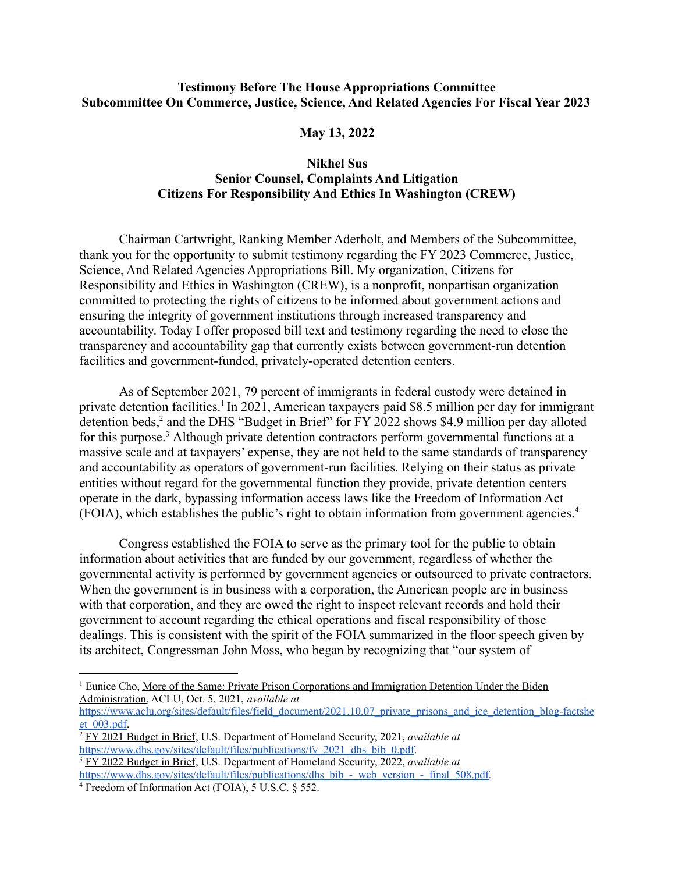## **Testimony Before The House Appropriations Committee Subcommittee On Commerce, Justice, Science, And Related Agencies For Fiscal Year 2023**

## **May 13, 2022**

## **Nikhel Sus Senior Counsel, Complaints And Litigation Citizens For Responsibility And Ethics In Washington (CREW)**

Chairman Cartwright, Ranking Member Aderholt, and Members of the Subcommittee, thank you for the opportunity to submit testimony regarding the FY 2023 Commerce, Justice, Science, And Related Agencies Appropriations Bill. My organization, Citizens for Responsibility and Ethics in Washington (CREW), is a nonprofit, nonpartisan organization committed to protecting the rights of citizens to be informed about government actions and ensuring the integrity of government institutions through increased transparency and accountability. Today I offer proposed bill text and testimony regarding the need to close the transparency and accountability gap that currently exists between government-run detention facilities and government-funded, privately-operated detention centers.

As of September 2021, 79 percent of immigrants in federal custody were detained in private detention facilities.<sup>1</sup> In 2021, American taxpayers paid \$8.5 million per day for immigrant detention beds,<sup>2</sup> and the DHS "Budget in Brief" for FY 2022 shows \$4.9 million per day alloted for this purpose.<sup>3</sup> Although private detention contractors perform governmental functions at a massive scale and at taxpayers' expense, they are not held to the same standards of transparency and accountability as operators of government-run facilities. Relying on their status as private entities without regard for the governmental function they provide, private detention centers operate in the dark, bypassing information access laws like the Freedom of Information Act (FOIA), which establishes the public's right to obtain information from government agencies.<sup>4</sup>

Congress established the FOIA to serve as the primary tool for the public to obtain information about activities that are funded by our government, regardless of whether the governmental activity is performed by government agencies or outsourced to private contractors. When the government is in business with a corporation, the American people are in business with that corporation, and they are owed the right to inspect relevant records and hold their government to account regarding the ethical operations and fiscal responsibility of those dealings. This is consistent with the spirit of the FOIA summarized in the floor speech given by its architect, Congressman John Moss, who began by recognizing that "our system of

<sup>&</sup>lt;sup>1</sup> Eunice Cho, More of the Same: Private Prison Corporations and Immigration Detention Under the Biden Administration, ACLU, Oct. 5, 2021, *available at*

[https://www.aclu.org/sites/default/files/field\\_document/2021.10.07\\_private\\_prisons\\_and\\_ice\\_detention\\_blog-factshe](https://www.aclu.org/sites/default/files/field_document/2021.10.07_private_prisons_and_ice_detention_blog-factsheet_003.pdf) [et\\_003.pdf](https://www.aclu.org/sites/default/files/field_document/2021.10.07_private_prisons_and_ice_detention_blog-factsheet_003.pdf).

<sup>2</sup> FY 2021 Budget in Brief, U.S. Department of Homeland Security, 2021, *available at* [https://www.dhs.gov/sites/default/files/publications/fy\\_2021\\_dhs\\_bib\\_0.pdf.](https://www.dhs.gov/sites/default/files/publications/fy_2021_dhs_bib_0.pdf)

<sup>3</sup> FY 2022 Budget in Brief, U.S. Department of Homeland Security, 2022, *available at* [https://www.dhs.gov/sites/default/files/publications/dhs\\_bib\\_-\\_web\\_version\\_-\\_final\\_508.pdf](https://www.dhs.gov/sites/default/files/publications/dhs_bib_-_web_version_-_final_508.pdf)*.*

<sup>4</sup> Freedom of Information Act (FOIA), 5 U.S.C. § 552.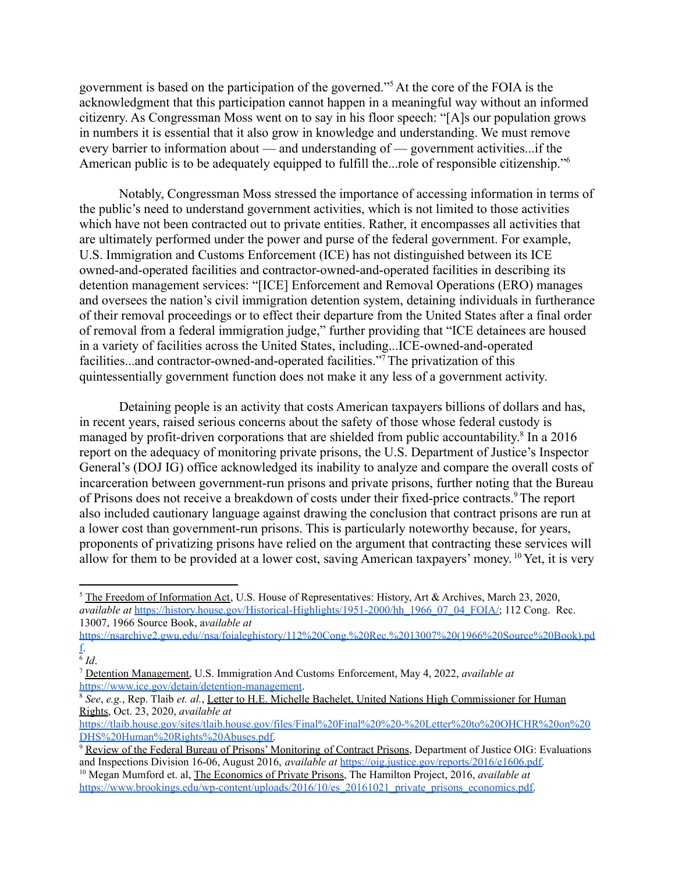government is based on the participation of the governed."<sup>5</sup> At the core of the FOIA is the acknowledgment that this participation cannot happen in a meaningful way without an informed citizenry. As Congressman Moss went on to say in his floor speech: "[A]s our population grows in numbers it is essential that it also grow in knowledge and understanding. We must remove every barrier to information about — and understanding of — government activities...if the American public is to be adequately equipped to fulfill the...role of responsible citizenship."<sup>6</sup>

Notably, Congressman Moss stressed the importance of accessing information in terms of the public's need to understand government activities, which is not limited to those activities which have not been contracted out to private entities. Rather, it encompasses all activities that are ultimately performed under the power and purse of the federal government. For example, U.S. Immigration and Customs Enforcement (ICE) has not distinguished between its ICE owned-and-operated facilities and contractor-owned-and-operated facilities in describing its detention management services: "[ICE] Enforcement and Removal Operations (ERO) manages and oversees the nation's civil immigration detention system, detaining individuals in furtherance of their removal proceedings or to effect their departure from the United States after a final order of removal from a federal immigration judge," further providing that "ICE detainees are housed in a variety of facilities across the United States, including...ICE-owned-and-operated facilities...and contractor-owned-and-operated facilities."<sup>7</sup>The privatization of this quintessentially government function does not make it any less of a government activity.

Detaining people is an activity that costs American taxpayers billions of dollars and has, in recent years, raised serious concerns about the safety of those whose federal custody is managed by profit-driven corporations that are shielded from public accountability.<sup>8</sup> In a 2016 report on the adequacy of monitoring private prisons, the U.S. Department of Justice's Inspector General's (DOJ IG) office acknowledged its inability to analyze and compare the overall costs of incarceration between government-run prisons and private prisons, further noting that the Bureau of Prisons does not receive a breakdown of costs under their fixed-price contracts.<sup>9</sup>The report also included cautionary language against drawing the conclusion that contract prisons are run at a lower cost than government-run prisons. This is particularly noteworthy because, for years, proponents of privatizing prisons have relied on the argument that contracting these services will allow for them to be provided at a lower cost, saving American taxpayers' money. <sup>10</sup> Yet, it is very

<sup>&</sup>lt;sup>5</sup> The Freedom of Information Act, U.S. House of Representatives: History, Art & Archives, March 23, 2020, *available at* [https://history.house.gov/Historical-Highlights/1951-2000/hh\\_1966\\_07\\_04\\_FOIA/;](https://history.house.gov/Historical-Highlights/1951-2000/hh_1966_07_04_FOIA/) 112 Cong. Rec. 13007, 1966 Source Book, a*vailable at*

[https://nsarchive2.gwu.edu//nsa/foialeghistory/112%20Cong.%20Rec.%2013007%20\(1966%20Source%20Book\).pd](https://nsarchive2.gwu.edu//nsa/foialeghistory/112%20Cong.%20Rec.%2013007%20(1966%20Source%20Book).pdf) [f](https://nsarchive2.gwu.edu//nsa/foialeghistory/112%20Cong.%20Rec.%2013007%20(1966%20Source%20Book).pdf).

<sup>6</sup> *Id*.

<sup>7</sup> Detention Management, U.S. Immigration And Customs Enforcement, May 4, 2022, *available at* [https://www.ice.gov/detain/detention-management.](https://www.ice.gov/detain/detention-management)

<sup>8</sup> *See*, *e.g.*, Rep. Tlaib *et. al.*, Letter to H.E. Michelle Bachelet, United Nations High Commissioner for Human Rights, Oct. 23, 2020, *available at*

[https://tlaib.house.gov/sites/tlaib.house.gov/files/Final%20Final%20%20-%20Letter%20to%20OHCHR%20on%20](https://tlaib.house.gov/sites/tlaib.house.gov/files/Final%20Final%20%20-%20Letter%20to%20OHCHR%20on%20DHS%20Human%20Rights%20Abuses.pdf) [DHS%20Human%20Rights%20Abuses.pdf.](https://tlaib.house.gov/sites/tlaib.house.gov/files/Final%20Final%20%20-%20Letter%20to%20OHCHR%20on%20DHS%20Human%20Rights%20Abuses.pdf)

<sup>&</sup>lt;sup>9</sup> Review of the Federal Bureau of Prisons' Monitoring of Contract Prisons, Department of Justice OIG: Evaluations and Inspections Division 16-06, August 2016, *available at* [https://oig.justice.gov/reports/2016/e1606.pdf.](https://oig.justice.gov/reports/2016/e1606.pdf)

<sup>&</sup>lt;sup>10</sup> Megan Mumford et. al, The Economics of Private Prisons, The Hamilton Project, 2016, *available at* [https://www.brookings.edu/wp-content/uploads/2016/10/es\\_20161021\\_private\\_prisons\\_economics.pdf.](https://www.brookings.edu/wp-content/uploads/2016/10/es_20161021_private_prisons_economics.pdf)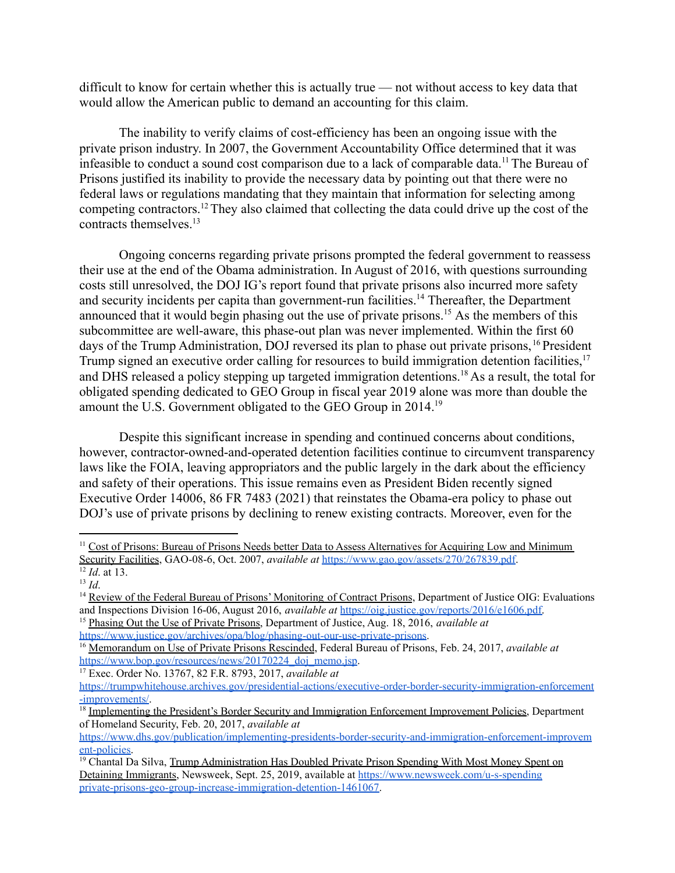difficult to know for certain whether this is actually true — not without access to key data that would allow the American public to demand an accounting for this claim.

The inability to verify claims of cost-efficiency has been an ongoing issue with the private prison industry. In 2007, the Government Accountability Office determined that it was infeasible to conduct a sound cost comparison due to a lack of comparable data.<sup>11</sup> The Bureau of Prisons justified its inability to provide the necessary data by pointing out that there were no federal laws or regulations mandating that they maintain that information for selecting among competing contractors.<sup>12</sup>They also claimed that collecting the data could drive up the cost of the contracts themselves.<sup>13</sup>

Ongoing concerns regarding private prisons prompted the federal government to reassess their use at the end of the Obama administration. In August of 2016, with questions surrounding costs still unresolved, the DOJ IG's report found that private prisons also incurred more safety and security incidents per capita than government-run facilities.<sup>14</sup> Thereafter, the Department announced that it would begin phasing out the use of private prisons.<sup>15</sup> As the members of this subcommittee are well-aware, this phase-out plan was never implemented. Within the first 60 days of the Trump Administration, DOJ reversed its plan to phase out private prisons, <sup>16</sup> President Trump signed an executive order calling for resources to build immigration detention facilities,<sup>17</sup> and DHS released a policy stepping up targeted immigration detentions.<sup>18</sup> As a result, the total for obligated spending dedicated to GEO Group in fiscal year 2019 alone was more than double the amount the U.S. Government obligated to the GEO Group in 2014.<sup>19</sup>

Despite this significant increase in spending and continued concerns about conditions, however, contractor-owned-and-operated detention facilities continue to circumvent transparency laws like the FOIA, leaving appropriators and the public largely in the dark about the efficiency and safety of their operations. This issue remains even as President Biden recently signed Executive Order 14006, 86 FR 7483 (2021) that reinstates the Obama-era policy to phase out DOJ's use of private prisons by declining to renew existing contracts. Moreover, even for the

<sup>17</sup> Exec. Order No. 13767, 82 F.R. 8793, 2017, *available at*

<sup>&</sup>lt;sup>11</sup> Cost of Prisons: Bureau of Prisons Needs better Data to Assess Alternatives for Acquiring Low and Minimum Security Facilities, GAO-08-6, Oct. 2007, *available at* [https://www.gao.gov/assets/270/267839.pdf.](https://www.gao.gov/assets/270/267839.pdf)

<sup>12</sup> *Id*. at 13.

 $13$  *Id*.

<sup>&</sup>lt;sup>14</sup> Review of the Federal Bureau of Prisons' Monitoring of Contract Prisons, Department of Justice OIG: Evaluations and Inspections Division 16-06, August 2016, *available at* [https://oig.justice.gov/reports/2016/e1606.pdf.](https://oig.justice.gov/reports/2016/e1606.pdf)

<sup>15</sup> Phasing Out the Use of Private Prisons, Department of Justice, Aug. 18, 2016, *available at* <https://www.justice.gov/archives/opa/blog/phasing-out-our-use-private-prisons>.

<sup>16</sup> Memorandum on Use of Private Prisons Rescinded, Federal Bureau of Prisons, Feb. 24, 2017, *available at* https://www.bop.gov/resources/news/20170224\_doi\_memo.jsp.

[https://trumpwhitehouse.archives.gov/presidential-actions/executive-order-border-security-immigration-enforcement](https://trumpwhitehouse.archives.gov/presidential-actions/executive-order-border-security-immigration-enforcement-improvements/) [-improvements/](https://trumpwhitehouse.archives.gov/presidential-actions/executive-order-border-security-immigration-enforcement-improvements/).

<sup>&</sup>lt;sup>18</sup> Implementing the President's Border Security and Immigration Enforcement Improvement Policies, Department of Homeland Security, Feb. 20, 2017, *available at*

[https://www.dhs.gov/publication/implementing-presidents-border-security-and-immigration-enforcement-improvem](https://www.dhs.gov/publication/implementing-presidents-border-security-and-immigration-enforcement-improvement-policies) [ent-policies.](https://www.dhs.gov/publication/implementing-presidents-border-security-and-immigration-enforcement-improvement-policies)

<sup>&</sup>lt;sup>19</sup> Chantal Da Silva, Trump Administration Has Doubled Private Prison Spending With Most Money Spent on Detaining Immigrants, Newsweek, Sept. 25, 2019, available at [https://www.newsweek.com/u-s-spending](https://www.newsweek.com/u-s-spending-private-prisons-geo-group-increase-immigration-detention-1461067) [private-prisons-geo-group-increase-immigration-detention-1461067](https://www.newsweek.com/u-s-spending-private-prisons-geo-group-increase-immigration-detention-1461067).